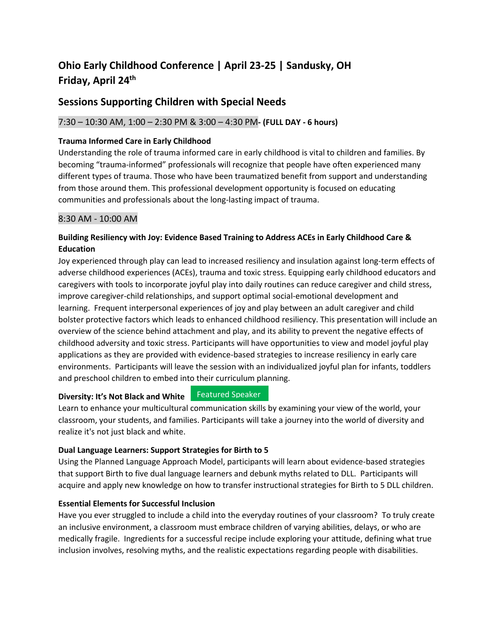# **Ohio Early Childhood Conference | April 23-25 | Sandusky, OH Friday, April 24 th**

# **Sessions Supporting Children with Special Needs**

# 7:30 – 10:30 AM, 1:00 – 2:30 PM & 3:00 – 4:30 PM**- (FULL DAY - 6 hours)**

### **Trauma Informed Care in Early Childhood**

Understanding the role of trauma informed care in early childhood is vital to children and families. By becoming "trauma-informed" professionals will recognize that people have often experienced many different types of trauma. Those who have been traumatized benefit from support and understanding from those around them. This professional development opportunity is focused on educating communities and professionals about the long-lasting impact of trauma.

#### 8:30 AM - 10:00 AM

# **Building Resiliency with Joy: Evidence Based Training to Address ACEs in Early Childhood Care & Education**

Joy experienced through play can lead to increased resiliency and insulation against long-term effects of adverse childhood experiences (ACEs), trauma and toxic stress. Equipping early childhood educators and caregivers with tools to incorporate joyful play into daily routines can reduce caregiver and child stress, improve caregiver-child relationships, and support optimal social-emotional development and learning. Frequent interpersonal experiences of joy and play between an adult caregiver and child bolster protective factors which leads to enhanced childhood resiliency. This presentation will include an overview of the science behind attachment and play, and its ability to prevent the negative effects of childhood adversity and toxic stress. Participants will have opportunities to view and model joyful play applications as they are provided with evidence-based strategies to increase resiliency in early care environments. Participants will leave the session with an individualized joyful plan for infants, toddlers and preschool children to embed into their curriculum planning.

#### **Diversity: It's Not Black and White** Featured Speaker

Learn to enhance your multicultural communication skills by examining your view of the world, your classroom, your students, and families. Participants will take a journey into the world of diversity and realize it's not just black and white.

## **Dual Language Learners: Support Strategies for Birth to 5**

Using the Planned Language Approach Model, participants will learn about evidence-based strategies that support Birth to five dual language learners and debunk myths related to DLL. Participants will acquire and apply new knowledge on how to transfer instructional strategies for Birth to 5 DLL children.

## **Essential Elements for Successful Inclusion**

Have you ever struggled to include a child into the everyday routines of your classroom? To truly create an inclusive environment, a classroom must embrace children of varying abilities, delays, or who are medically fragile. Ingredients for a successful recipe include exploring your attitude, defining what true inclusion involves, resolving myths, and the realistic expectations regarding people with disabilities.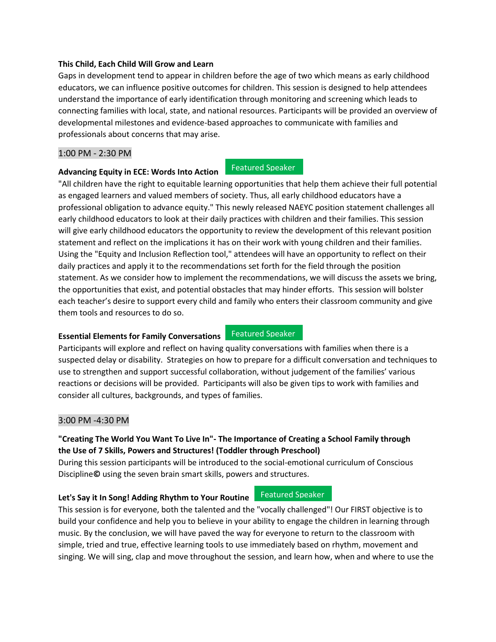#### **This Child, Each Child Will Grow and Learn**

**Advancing Equity in ECE: Words Into Action**

Gaps in development tend to appear in children before the age of two which means as early childhood educators, we can influence positive outcomes for children. This session is designed to help attendees understand the importance of early identification through monitoring and screening which leads to connecting families with local, state, and national resources. Participants will be provided an overview of developmental milestones and evidence-based approaches to communicate with families and professionals about concerns that may arise.

#### 1:00 PM - 2:30 PM

Featured Speaker

"All children have the right to equitable learning opportunities that help them achieve their full potential as engaged learners and valued members of society. Thus, all early childhood educators have a professional obligation to advance equity." This newly released NAEYC position statement challenges all early childhood educators to look at their daily practices with children and their families. This session will give early childhood educators the opportunity to review the development of this relevant position statement and reflect on the implications it has on their work with young children and their families. Using the "Equity and Inclusion Reflection tool," attendees will have an opportunity to reflect on their daily practices and apply it to the recommendations set forth for the field through the position statement. As we consider how to implement the recommendations, we will discuss the assets we bring, the opportunities that exist, and potential obstacles that may hinder efforts. This session will bolster each teacher's desire to support every child and family who enters their classroom community and give them tools and resources to do so.

#### **Essential Elements for Family Conversations** Featured Speaker

Participants will explore and reflect on having quality conversations with families when there is a suspected delay or disability. Strategies on how to prepare for a difficult conversation and techniques to use to strengthen and support successful collaboration, without judgement of the families' various reactions or decisions will be provided. Participants will also be given tips to work with families and consider all cultures, backgrounds, and types of families.

#### 3:00 PM -4:30 PM

# **"Creating The World You Want To Live In"- The Importance of Creating a School Family through the Use of 7 Skills, Powers and Structures! (Toddler through Preschool)**

During this session participants will be introduced to the social-emotional curriculum of Conscious Discipline**©** using the seven brain smart skills, powers and structures.

#### **Let's Say it In Song! Adding Rhythm to Your Routine**

Featured Speaker

This session is for everyone, both the talented and the "vocally challenged"! Our FIRST objective is to build your confidence and help you to believe in your ability to engage the children in learning through music. By the conclusion, we will have paved the way for everyone to return to the classroom with simple, tried and true, effective learning tools to use immediately based on rhythm, movement and singing. We will sing, clap and move throughout the session, and learn how, when and where to use the